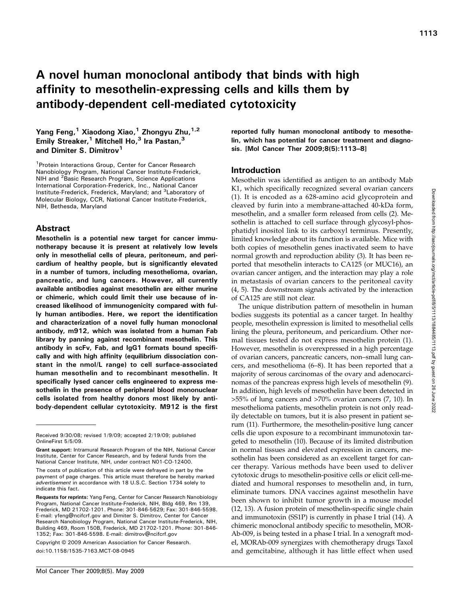# A novel human monoclonal antibody that binds with high affinity to mesothelin-expressing cells and kills them by antibody-dependent cell-mediated cytotoxicity

## Yang Feng,<sup>1</sup> Xiaodong Xiao,<sup>1</sup> Zhongyu Zhu,<sup>1,2</sup> Emily Streaker,<sup>1</sup> Mitchell Ho,<sup>3</sup> Ira Pastan,<sup>3</sup> and Dimiter S. Dimitrov<sup>1</sup>

<sup>1</sup> Protein Interactions Group, Center for Cancer Research Nanobiology Program, National Cancer Institute-Frederick, NIH and <sup>2</sup> Basic Research Program, Science Applications International Corporation-Frederick, Inc., National Cancer Institute-Frederick, Frederick, Maryland; and <sup>3</sup>Laboratory of Molecular Biology, CCR, National Cancer Institute-Frederick, NIH, Bethesda, Maryland

#### Abstract

Mesothelin is a potential new target for cancer immunotherapy because it is present at relatively low levels only in mesothelial cells of pleura, peritoneum, and pericardium of healthy people, but is significantly elevated in a number of tumors, including mesothelioma, ovarian, pancreatic, and lung cancers. However, all currently available antibodies against mesothelin are either murine or chimeric, which could limit their use because of increased likelihood of immunogenicity compared with fully human antibodies. Here, we report the identification and characterization of a novel fully human monoclonal antibody, m912, which was isolated from a human Fab library by panning against recombinant mesothelin. This antibody in scFv, Fab, and IgG1 formats bound specifically and with high affinity (equilibrium dissociation constant in the nmol/L range) to cell surface-associated human mesothelin and to recombinant mesothelin. It specifically lysed cancer cells engineered to express mesothelin in the presence of peripheral blood mononuclear cells isolated from healthy donors most likely by antibody-dependent cellular cytotoxicity. M912 is the first

Copyright © 2009 American Association for Cancer Research. doi:10.1158/1535-7163.MCT-08-0945

reported fully human monoclonal antibody to mesothelin, which has potential for cancer treatment and diagnosis. [Mol Cancer Ther 2009;8(5):1113–8]

### Introduction

Mesothelin was identified as antigen to an antibody Mab K1, which specifically recognized several ovarian cancers (1). It is encoded as a 628-amino acid glycoprotein and cleaved by furin into a membrane-attached 40-kDa form, mesothelin, and a smaller form released from cells (2). Mesothelin is attached to cell surface through glycosyl-phosphatidyl inositol link to its carboxyl terminus. Presently, limited knowledge about its function is available. Mice with both copies of mesothelin genes inactivated seem to have normal growth and reproduction ability (3). It has been reported that mesothelin interacts to CA125 (or MUC16), an ovarian cancer antigen, and the interaction may play a role in metastasis of ovarian cancers to the peritoneal cavity (4, 5). The downstream signals activated by the interaction of CA125 are still not clear.

The unique distribution pattern of mesothelin in human bodies suggests its potential as a cancer target. In healthy people, mesothelin expression is limited to mesothelial cells lining the pleura, peritoneum, and pericardium. Other normal tissues tested do not express mesothelin protein (1). However, mesothelin is overexpressed in a high percentage of ovarian cancers, pancreatic cancers, non–small lung cancers, and mesothelioma (6–8). It has been reported that a majority of serous carcinomas of the ovary and adenocarcinomas of the pancreas express high levels of mesothelin (9). In addition, high levels of mesothelin have been detected in >55% of lung cancers and >70% ovarian cancers (7, 10). In mesothelioma patients, mesothelin protein is not only readily detectable on tumors, but it is also present in patient serum (11). Furthermore, the mesothelin-positive lung cancer cells die upon exposure to a recombinant immunotoxin targeted to mesothelin (10). Because of its limited distribution in normal tissues and elevated expression in cancers, mesothelin has been considered as an excellent target for cancer therapy. Various methods have been used to deliver cytotoxic drugs to mesothelin-positive cells or elicit cell-mediated and humoral responses to mesothelin and, in turn, eliminate tumors. DNA vaccines against mesothelin have been shown to inhibit tumor growth in a mouse model (12, 13). A fusion protein of mesothelin-specific single chain and immunotoxin (SS1P) is currently in phase I trial (14). A chimeric monoclonal antibody specific to mesothelin, MOR-Ab-009, is being tested in a phase I trial. In a xenograft model, MORAb-009 synergizes with chemotherapy drugs Taxol and gemcitabine, although it has little effect when used

Received 9/30/08; revised 1/9/09; accepted 2/19/09; published OnlineFirst 5/5/09.

Grant support: Intramural Research Program of the NIH, National Cancer Institute, Center for Cancer Research, and by federal funds from the National Cancer Institute, NIH, under contract N01-CO-12400.

The costs of publication of this article were defrayed in part by the payment of page charges. This article must therefore be hereby marked advertisement in accordance with 18 U.S.C. Section 1734 solely to indicate this fact.

Requests for reprints: Yang Feng, Center for Cancer Research Nanobiology Program, National Cancer Institute-Frederick, NIH, Bldg 469, Rm 139, Frederick, MD 21702-1201. Phone: 301-846-5629; Fax: 301-846-5598. E-mail: yfeng@ncifcrf.gov and Dimiter S. Dimitrov, Center for Cancer Research Nanobiology Program, National Cancer Institute-Frederick, NIH, Building 469, Room 150B, Frederick, MD 21702-1201. Phone: 301-846- 1352; Fax: 301-846-5598. E-mail: dimitrov@ncifcrf.gov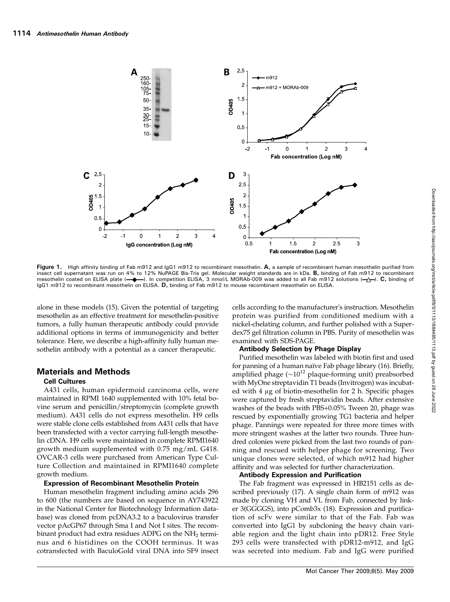

Figure 1. High affinity binding of Fab m912 and IgG1 m912 to recombinant mesothelin. A, a sample of recombinant human mesothelin purified from insect cell supernatant was run on 4% to 12% NuPAGE Bis-Tris gel. Molecular weight standards are in kDa. B, binding of Fab m912 to recombinant mesothelin coated on ELISA plate (-+). In competition ELISA, 3 nmol/L MORAb-009 was added to all Fab m912 solutions (- $\rightarrow$ ). C, binding of IgG1 m912 to recombinant mesothelin on ELISA. D, binding of Fab m912 to mouse recombinant mesothelin on ELISA.

alone in these models (15). Given the potential of targeting mesothelin as an effective treatment for mesothelin-positive tumors, a fully human therapeutic antibody could provide additional options in terms of immunogenicity and better tolerance. Here, we describe a high-affinity fully human mesothelin antibody with a potential as a cancer therapeutic.

#### Materials and Methods

#### Cell Cultures

A431 cells, human epidermoid carcinoma cells, were maintained in RPMI 1640 supplemented with 10% fetal bovine serum and penicillin/streptomycin (complete growth medium). A431 cells do not express mesothelin. H9 cells were stable clone cells established from A431 cells that have been transfected with a vector carrying full-length mesothelin cDNA. H9 cells were maintained in complete RPMI1640 growth medium supplemented with 0.75 mg/mL G418. OVCAR-3 cells were purchased from American Type Culture Collection and maintained in RPMI1640 complete growth medium.

#### Expression of Recombinant Mesothelin Protein

Human mesothelin fragment including amino acids 296 to 600 (the numbers are based on sequence in AY743922 in the National Center for Biotechnology Information database) was cloned from pcDNA3.2 to a baculovirus transfer vector pAcGP67 through Sma I and Not I sites. The recombinant product had extra residues ADPG on the  $NH<sub>2</sub>$  terminus and 6 histidines on the COOH terminus. It was cotransfected with BaculoGold viral DNA into SF9 insect

cells according to the manufacturer's instruction. Mesothelin protein was purified from conditioned medium with a nickel-chelating column, and further polished with a Superdex75 gel filtration column in PBS. Purity of mesothelin was examined with SDS-PAGE.

#### Antibody Selection by Phage Display

Purified mesothelin was labeled with biotin first and used for panning of a human naïve Fab phage library (16). Briefly, amplified phage ( $\sim 10^{12}$  plaque-forming unit) preabsorbed with MyOne streptavidin T1 beads (Invitrogen) was incubated with 4 μg of biotin-mesothelin for 2 h. Specific phages were captured by fresh streptavidin beads. After extensive washes of the beads with PBS+0.05% Tween 20, phage was rescued by exponentially growing TG1 bacteria and helper phage. Pannings were repeated for three more times with more stringent washes at the latter two rounds. Three hundred colonies were picked from the last two rounds of panning and rescued with helper phage for screening. Two unique clones were selected, of which m912 had higher affinity and was selected for further characterization.

#### Antibody Expression and Purification

The Fab fragment was expressed in HB2151 cells as described previously (17). A single chain form of m912 was made by cloning VH and VL from Fab, connected by linker 3(GGGGS), into pComb3x (18). Expression and purification of scFv were similar to that of the Fab. Fab was converted into IgG1 by subcloning the heavy chain variable region and the light chain into pDR12. Free Style 293 cells were transfected with pDR12-m912, and IgG was secreted into medium. Fab and IgG were purified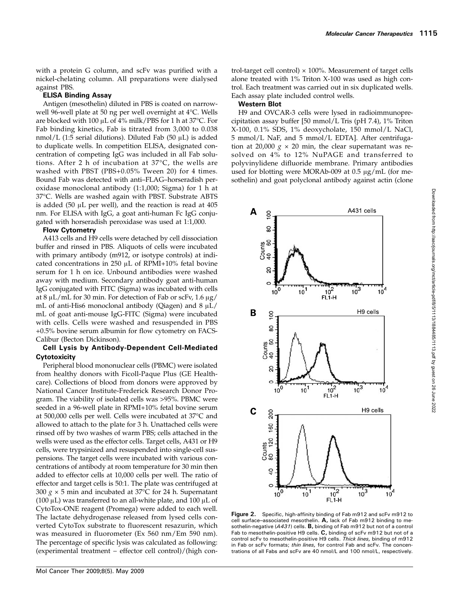with a protein G column, and scFv was purified with a nickel-chelating column. All preparations were dialysed against PBS.

#### ELISA Binding Assay

Antigen (mesothelin) diluted in PBS is coated on narrowwell 96-well plate at 50 ng per well overnight at 4°C. Wells are blocked with 100 μL of 4% milk/PBS for 1 h at 37°C. For Fab binding kinetics, Fab is titrated from 3,000 to 0.038 nmol/L (1:5 serial dilutions). Diluted Fab (50  $\mu$ L) is added to duplicate wells. In competition ELISA, designated concentration of competing IgG was included in all Fab solutions. After 2 h of incubation at 37°C, the wells are washed with PBST (PBS+0.05% Tween 20) for 4 times. Bound Fab was detected with anti–FLAG–horseradish peroxidase monoclonal antibody (1:1,000; Sigma) for 1 h at 37°C. Wells are washed again with PBST. Substrate ABTS is added (50 μL per well), and the reaction is read at 405 nm. For ELISA with IgG, a goat anti-human Fc IgG conjugated with horseradish peroxidase was used at 1:1,000.

#### Flow Cytometry

A413 cells and H9 cells were detached by cell dissociation buffer and rinsed in PBS. Aliquots of cells were incubated with primary antibody (m912, or isotype controls) at indicated concentrations in 250 μL of RPMI+10% fetal bovine serum for 1 h on ice. Unbound antibodies were washed away with medium. Secondary antibody goat anti-human IgG conjugated with FITC (Sigma) was incubated with cells at 8 μL/mL for 30 min. For detection of Fab or scFv, 1.6 μg/ mL of anti-His6 monoclonal antibody (Qiagen) and 8 μL/ mL of goat anti-mouse IgG-FITC (Sigma) were incubated with cells. Cells were washed and resuspended in PBS +0.5% bovine serum albumin for flow cytometry on FACS-Calibur (Becton Dickinson).

#### Cell Lysis by Antibody-Dependent Cell-Mediated **Cytotoxicity**

Peripheral blood mononuclear cells (PBMC) were isolated from healthy donors with Ficoll-Paque Plus (GE Healthcare). Collections of blood from donors were approved by National Cancer Institute-Frederick Research Donor Program. The viability of isolated cells was >95%. PBMC were seeded in a 96-well plate in RPMI+10% fetal bovine serum at 500,000 cells per well. Cells were incubated at 37°C and allowed to attach to the plate for 3 h. Unattached cells were rinsed off by two washes of warm PBS; cells attached in the wells were used as the effector cells. Target cells, A431 or H9 cells, were trypsinized and resuspended into single-cell suspensions. The target cells were incubated with various concentrations of antibody at room temperature for 30 min then added to effector cells at 10,000 cells per well. The ratio of effector and target cells is 50:1. The plate was centrifuged at 300  $g \times 5$  min and incubated at 37°C for 24 h. Supernatant (100  $\mu$ L) was transferred to an all-white plate, and 100  $\mu$ L of CytoTox-ONE reagent (Promega) were added to each well. The lactate dehydrogenase released from lysed cells converted CytoTox substrate to fluorescent resazurin, which was measured in fluorometer (Ex 560 nm/Em 590 nm). The percentage of specific lysis was calculated as following: (experimental treatment − effector cell control)/(high control-target cell control)  $\times$  100%. Measurement of target cells alone treated with 1% Triton X-100 was used as high control. Each treatment was carried out in six duplicated wells. Each assay plate included control wells.

#### Western Blot

H9 and OVCAR-3 cells were lysed in radioimmunoprecipitation assay buffer [50 mmol/L Tris (pH 7.4), 1% Triton X-100, 0.1% SDS, 1% deoxycholate, 150 mmol/L NaCl, 5 mmol/L NaF, and 5 mmol/L EDTA]. After centrifugation at 20,000  $g \times 20$  min, the clear supernatant was resolved on 4% to 12% NuPAGE and transferred to polyvinylidene difluoride membrane. Primary antibodies used for blotting were MORAb-009 at 0.5  $\mu$ g/mL (for mesothelin) and goat polyclonal antibody against actin (clone



Figure 2. Specific, high-affinity binding of Fab m912 and scFv m912 to cell surface–associated mesothelin. A, lack of Fab m912 binding to mesothelin-negative ( $A431$ ) cells. **B**, binding of Fab m912 but not of a control Fab to mesothelin-positive H9 cells. C, binding of scFv m912 but not of a control scFv to mesothelin-positive H9 cells. Thick lines, binding of m912 in Fab or scFv formats; thin lines, for control Fab and scFv. The concentrations of all Fabs and scFv are 40 nmol/L and 100 nmol/L, respectively.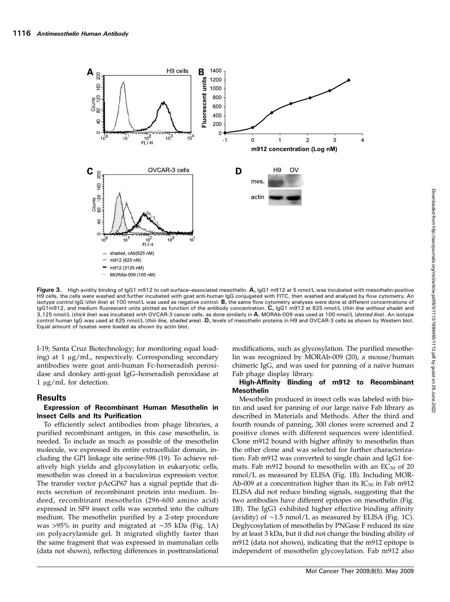

Figure 3. High avidity binding of IgG1 m912 to cell surface-associated mesothelin. A, IgG1 m912 at 5 nmol/L was incubated with mesothelin-positive H9 cells, the cells were washed and further incubated with goat anti-human IgG conjugated with FITC, then washed and analyzed by flow cytometry. An isotype control IgG (thin line) at 100 nmol/L was used as negative control. B, the same flow cytometry analyses were done at different concentrations of IgG1m912, and medium fluorescent units plotted as function of the antibody concentration. C, IgG1 m912 at 625 nmol/L (thin line without shade) and 3,125 nmol/L (t*hick line*) was incubated with OVCAR-3 cancer cells, as done similarly in **A**. MORAb-009 was used at 100 nmol/L (*dotted line*). An isotype control human IgG was used at 625 nmol/L (thin line, shaded area). D, levels of mesothelin proteins in H9 and OVCAR-3 cells as shown by Western blot. Equal amount of lysates were loaded as shown by actin blot.

I-19; Santa Cruz Biotechnology; for monitoring equal loading) at 1 μg/mL, respectively. Corresponding secondary antibodies were goat anti-human Fc-horseradish peroxidase and donkey anti-goat IgG–horseradish peroxidase at 1 μg/mL for detection.

#### **Results**

#### Expression of Recombinant Human Mesothelin in Insect Cells and Its Purification

To efficiently select antibodies from phage libraries, a purified recombinant antigen, in this case mesothelin, is needed. To include as much as possible of the mesothelin molecule, we expressed its entire extracellular domain, including the GPI linkage site serine-598 (19). To achieve relatively high yields and glycosylation in eukaryotic cells, mesothelin was cloned in a baculovirus expression vector. The transfer vector pAcGP67 has a signal peptide that directs secretion of recombinant protein into medium. Indeed, recombinant mesothelin (296-600 amino acid) expressed in SF9 insect cells was secreted into the culture medium. The mesothelin purified by a 2-step procedure was >95% in purity and migrated at ∼35 kDa (Fig. 1A) on polyacrylamide gel. It migrated slightly faster than the same fragment that was expressed in mammalian cells (data not shown), reflecting differences in posttranslational modifications, such as glycosylation. The purified mesothelin was recognized by MORAb-009 (20), a mouse/human chimeric IgG, and was used for panning of a naïve human Fab phage display library.

#### High-Affinity Binding of m912 to Recombinant Mesothelin

Mesothelin produced in insect cells was labeled with biotin and used for panning of our large naïve Fab library as described in Materials and Methods. After the third and fourth rounds of panning, 300 clones were screened and 2 positive clones with different sequences were identified. Clone m912 bound with higher affinity to mesothelin than the other clone and was selected for further characterization. Fab m912 was converted to single chain and IgG1 formats. Fab m912 bound to mesothelin with an  $EC_{50}$  of 20 nmol/L as measured by ELISA (Fig. 1B). Including MOR-Ab-009 at a concentration higher than its  $IC_{50}$  in Fab m912 ELISA did not reduce binding signals, suggesting that the two antibodies have different epitopes on mesothelin (Fig. 1B). The IgG1 exhibited higher effective binding affinity (avidity) of ∼1.5 nmol/L as measured by ELISA (Fig. 1C). Deglycosylation of mesothelin by PNGase F reduced its size by at least 3 kDa, but it did not change the binding ability of m912 (data not shown), indicating that the m912 epitope is independent of mesothelin glycosylation. Fab m912 also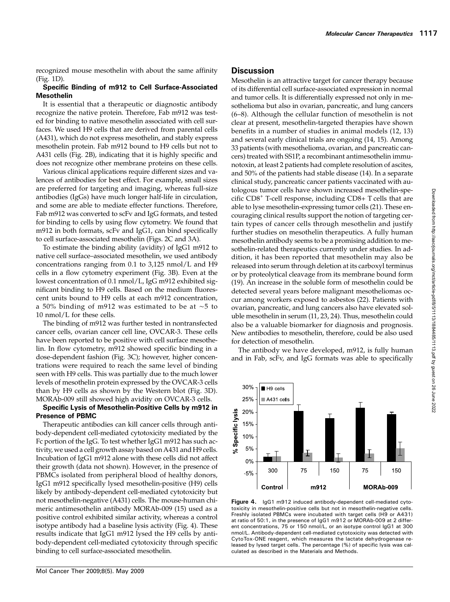recognized mouse mesothelin with about the same affinity (Fig. 1D).

## Specific Binding of m912 to Cell Surface-Associated Mesothelin

It is essential that a therapeutic or diagnostic antibody recognize the native protein. Therefore, Fab m912 was tested for binding to native mesothelin associated with cell surfaces. We used H9 cells that are derived from parental cells (A431), which do not express mesothelin, and stably express mesothelin protein. Fab m912 bound to H9 cells but not to A431 cells (Fig. 2B), indicating that it is highly specific and does not recognize other membrane proteins on these cells.

Various clinical applications require different sizes and valences of antibodies for best effect. For example, small sizes are preferred for targeting and imaging, whereas full-size antibodies (IgGs) have much longer half-life in circulation, and some are able to mediate effecter functions. Therefore, Fab m912 was converted to scFv and IgG formats, and tested for binding to cells by using flow cytometry. We found that m912 in both formats, scFv and IgG1, can bind specifically to cell surface-associated mesothelin (Figs. 2C and 3A).

To estimate the binding ability (avidity) of IgG1 m912 to native cell surface–associated mesothelin, we used antibody concentrations ranging from 0.1 to 3,125 nmol/L and H9 cells in a flow cytometry experiment (Fig. 3B). Even at the lowest concentration of 0.1 nmol/L, IgG m912 exhibited significant binding to H9 cells. Based on the medium fluorescent units bound to H9 cells at each m912 concentration, a 50% binding of m912 was estimated to be at ∼5 to 10 nmol/L for these cells.

The binding of m912 was further tested in nontransfected cancer cells, ovarian cancer cell line, OVCAR-3. These cells have been reported to be positive with cell surface mesothelin. In flow cytometry, m912 showed specific binding in a dose-dependent fashion (Fig. 3C); however, higher concentrations were required to reach the same level of binding seen with H9 cells. This was partially due to the much lower levels of mesothelin protein expressed by the OVCAR-3 cells than by H9 cells as shown by the Western blot (Fig. 3D). MORAb-009 still showed high avidity on OVCAR-3 cells.

## Specific Lysis of Mesothelin-Positive Cells by m912 in Presence of PBMC

Therapeutic antibodies can kill cancer cells through antibody-dependent cell-mediated cytotoxicity mediated by the Fc portion of the IgG. To test whether IgG1 m912 has such activity, we used a cell growth assay based on A431 and H9 cells. Incubation of IgG1 m912 alone with these cells did not affect their growth (data not shown). However, in the presence of PBMCs isolated from peripheral blood of healthy donors, IgG1 m912 specifically lysed mesothelin-positive (H9) cells likely by antibody-dependent cell-mediated cytotoxicity but not mesothelin-negative (A431) cells. The mouse-human chimeric antimesothelin antibody MORAb-009 (15) used as a positive control exhibited similar activity, whereas a control isotype antibody had a baseline lysis activity (Fig. 4). These results indicate that IgG1 m912 lysed the H9 cells by antibody-dependent cell-mediated cytotoxicity through specific binding to cell surface-associated mesothelin.

## **Discussion**

30%

25%

20%

0%

 $-5%$ 

Specific lysis 15% 10% 5% .<br>پر

 $H9$  cells

300

Control

 $A431$  cells

Mesothelin is an attractive target for cancer therapy because of its differential cell surface-associated expression in normal and tumor cells. It is differentially expressed not only in mesothelioma but also in ovarian, pancreatic, and lung cancers (6–8). Although the cellular function of mesothelin is not clear at present, mesothelin-targeted therapies have shown benefits in a number of studies in animal models (12, 13) and several early clinical trials are ongoing (14, 15). Among 33 patients (with mesothelioma, ovarian, and pancreatic cancers) treated with SS1P, a recombinant antimesothelin immunotoxin, at least 2 patients had complete resolution of ascites, and 50% of the patients had stable disease (14). In a separate clinical study, pancreatic cancer patients vaccinated with autologous tumor cells have shown increased mesothelin-specific CD8<sup>+</sup> T-cell response, including CD8+ T cells that are able to lyse mesothelin-expressing tumor cells (21). These encouraging clinical results support the notion of targeting certain types of cancer cells through mesothelin and justify further studies on mesothelin therapeutics. A fully human mesothelin antibody seems to be a promising addition to mesothelin-related therapeutics currently under studies. In addition, it has been reported that mesothelin may also be released into serum through deletion at its carboxyl terminus or by proteolytical cleavage from its membrane bound form (19). An increase in the soluble form of mesothelin could be detected several years before malignant mesotheliomas occur among workers exposed to asbestos (22). Patients with ovarian, pancreatic, and lung cancers also have elevated soluble mesothelin in serum (11, 23, 24). Thus, mesothelin could also be a valuable biomarker for diagnosis and prognosis. New antibodies to mesothelin, therefore, could be also used for detection of mesothelin.

The antibody we have developed, m912, is fully human and in Fab, scFv, and IgG formats was able to specifically



m912

75

150

75

MORAb-009

150